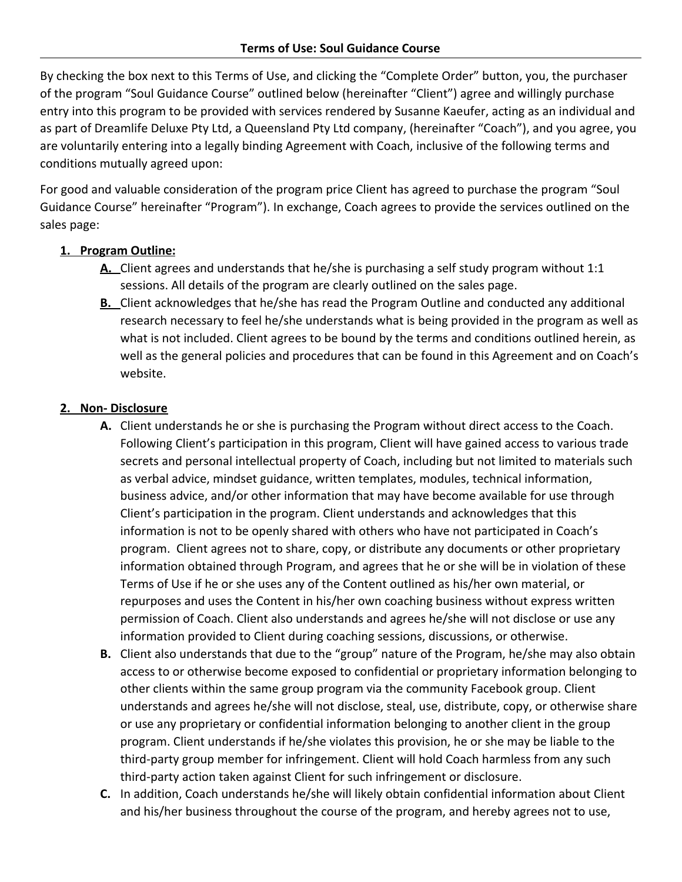By checking the box next to this Terms of Use, and clicking the "Complete Order" button, you, the purchaser of the program "Soul Guidance Course" outlined below (hereinafter "Client") agree and willingly purchase entry into this program to be provided with services rendered by Susanne Kaeufer, acting as an individual and as part of Dreamlife Deluxe Pty Ltd, a Queensland Pty Ltd company, (hereinafter "Coach"), and you agree, you are voluntarily entering into a legally binding Agreement with Coach, inclusive of the following terms and conditions mutually agreed upon:

For good and valuable consideration of the program price Client has agreed to purchase the program "Soul Guidance Course" hereinafter "Program"). In exchange, Coach agrees to provide the services outlined on the sales page:

# **1. Program Outline:**

- **A.** Client agrees and understands that he/she is purchasing a self study program without 1:1 sessions. All details of the program are clearly outlined on the sales page.
- **B.** Client acknowledges that he/she has read the Program Outline and conducted any additional research necessary to feel he/she understands what is being provided in the program as well as what is not included. Client agrees to be bound by the terms and conditions outlined herein, as well as the general policies and procedures that can be found in this Agreement and on Coach's website.

# **2. Non- Disclosure**

- **A.** Client understands he or she is purchasing the Program without direct access to the Coach. Following Client's participation in this program, Client will have gained access to various trade secrets and personal intellectual property of Coach, including but not limited to materials such as verbal advice, mindset guidance, written templates, modules, technical information, business advice, and/or other information that may have become available for use through Client's participation in the program. Client understands and acknowledges that this information is not to be openly shared with others who have not participated in Coach's program. Client agrees not to share, copy, or distribute any documents or other proprietary information obtained through Program, and agrees that he or she will be in violation of these Terms of Use if he or she uses any of the Content outlined as his/her own material, or repurposes and uses the Content in his/her own coaching business without express written permission of Coach. Client also understands and agrees he/she will not disclose or use any information provided to Client during coaching sessions, discussions, or otherwise.
- **B.** Client also understands that due to the "group" nature of the Program, he/she may also obtain access to or otherwise become exposed to confidential or proprietary information belonging to other clients within the same group program via the community Facebook group. Client understands and agrees he/she will not disclose, steal, use, distribute, copy, or otherwise share or use any proprietary or confidential information belonging to another client in the group program. Client understands if he/she violates this provision, he or she may be liable to the third-party group member for infringement. Client will hold Coach harmless from any such third-party action taken against Client for such infringement or disclosure.
- **C.** In addition, Coach understands he/she will likely obtain confidential information about Client and his/her business throughout the course of the program, and hereby agrees not to use,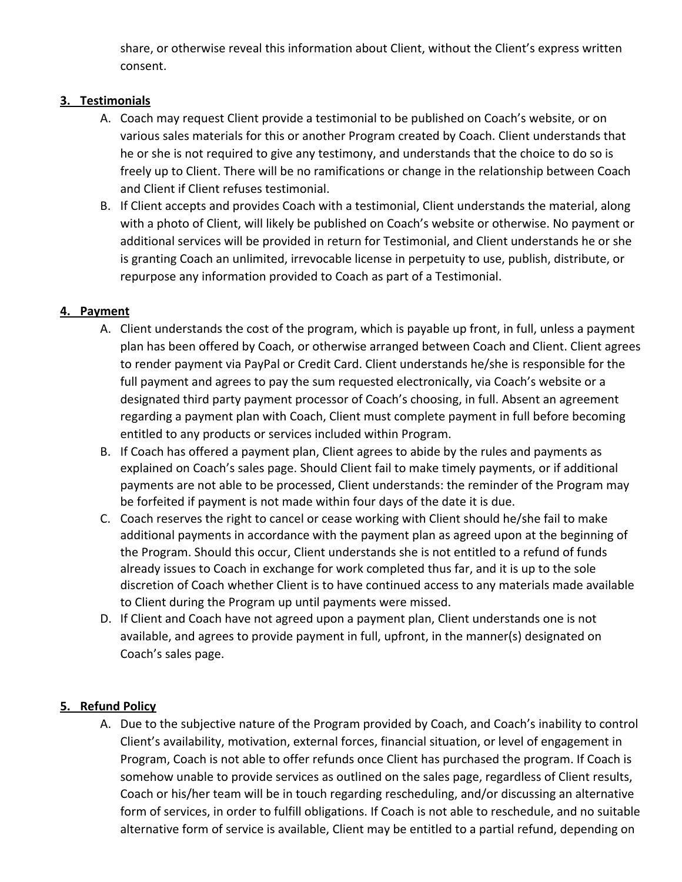share, or otherwise reveal this information about Client, without the Client's express written consent.

### **3. Testimonials**

- A. Coach may request Client provide a testimonial to be published on Coach's website, or on various sales materials for this or another Program created by Coach. Client understands that he or she is not required to give any testimony, and understands that the choice to do so is freely up to Client. There will be no ramifications or change in the relationship between Coach and Client if Client refuses testimonial.
- B. If Client accepts and provides Coach with a testimonial, Client understands the material, along with a photo of Client, will likely be published on Coach's website or otherwise. No payment or additional services will be provided in return for Testimonial, and Client understands he or she is granting Coach an unlimited, irrevocable license in perpetuity to use, publish, distribute, or repurpose any information provided to Coach as part of a Testimonial.

### **4. Payment**

- A. Client understands the cost of the program, which is payable up front, in full, unless a payment plan has been offered by Coach, or otherwise arranged between Coach and Client. Client agrees to render payment via PayPal or Credit Card. Client understands he/she is responsible for the full payment and agrees to pay the sum requested electronically, via Coach's website or a designated third party payment processor of Coach's choosing, in full. Absent an agreement regarding a payment plan with Coach, Client must complete payment in full before becoming entitled to any products or services included within Program.
- B. If Coach has offered a payment plan, Client agrees to abide by the rules and payments as explained on Coach's sales page. Should Client fail to make timely payments, or if additional payments are not able to be processed, Client understands: the reminder of the Program may be forfeited if payment is not made within four days of the date it is due.
- C. Coach reserves the right to cancel or cease working with Client should he/she fail to make additional payments in accordance with the payment plan as agreed upon at the beginning of the Program. Should this occur, Client understands she is not entitled to a refund of funds already issues to Coach in exchange for work completed thus far, and it is up to the sole discretion of Coach whether Client is to have continued access to any materials made available to Client during the Program up until payments were missed.
- D. If Client and Coach have not agreed upon a payment plan, Client understands one is not available, and agrees to provide payment in full, upfront, in the manner(s) designated on Coach's sales page.

#### **5. Refund Policy**

A. Due to the subjective nature of the Program provided by Coach, and Coach's inability to control Client's availability, motivation, external forces, financial situation, or level of engagement in Program, Coach is not able to offer refunds once Client has purchased the program. If Coach is somehow unable to provide services as outlined on the sales page, regardless of Client results, Coach or his/her team will be in touch regarding rescheduling, and/or discussing an alternative form of services, in order to fulfill obligations. If Coach is not able to reschedule, and no suitable alternative form of service is available, Client may be entitled to a partial refund, depending on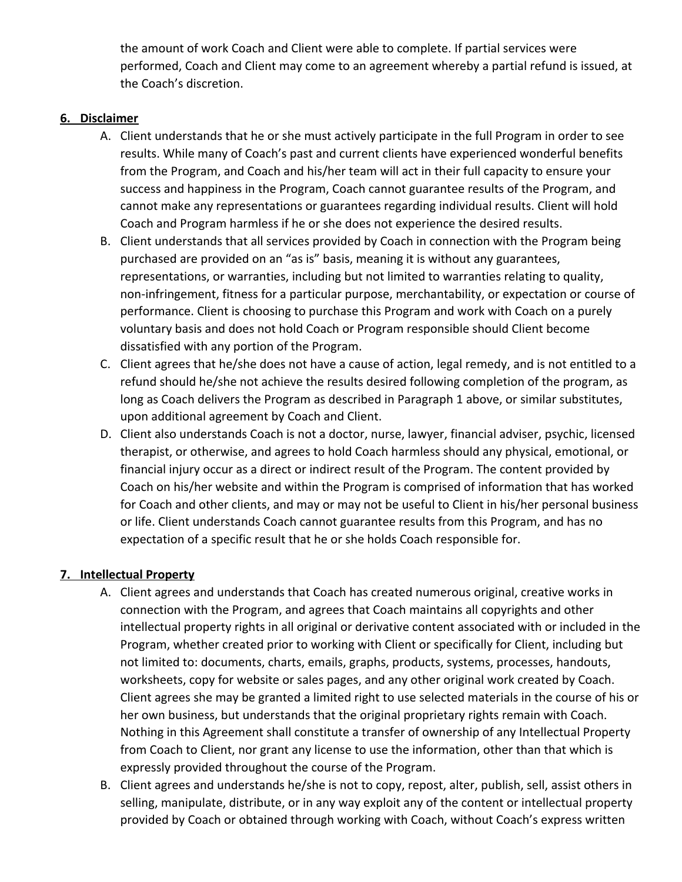the amount of work Coach and Client were able to complete. If partial services were performed, Coach and Client may come to an agreement whereby a partial refund is issued, at the Coach's discretion.

#### **6. Disclaimer**

- A. Client understands that he or she must actively participate in the full Program in order to see results. While many of Coach's past and current clients have experienced wonderful benefits from the Program, and Coach and his/her team will act in their full capacity to ensure your success and happiness in the Program, Coach cannot guarantee results of the Program, and cannot make any representations or guarantees regarding individual results. Client will hold Coach and Program harmless if he or she does not experience the desired results.
- B. Client understands that all services provided by Coach in connection with the Program being purchased are provided on an "as is" basis, meaning it is without any guarantees, representations, or warranties, including but not limited to warranties relating to quality, non-infringement, fitness for a particular purpose, merchantability, or expectation or course of performance. Client is choosing to purchase this Program and work with Coach on a purely voluntary basis and does not hold Coach or Program responsible should Client become dissatisfied with any portion of the Program.
- C. Client agrees that he/she does not have a cause of action, legal remedy, and is not entitled to a refund should he/she not achieve the results desired following completion of the program, as long as Coach delivers the Program as described in Paragraph 1 above, or similar substitutes, upon additional agreement by Coach and Client.
- D. Client also understands Coach is not a doctor, nurse, lawyer, financial adviser, psychic, licensed therapist, or otherwise, and agrees to hold Coach harmless should any physical, emotional, or financial injury occur as a direct or indirect result of the Program. The content provided by Coach on his/her website and within the Program is comprised of information that has worked for Coach and other clients, and may or may not be useful to Client in his/her personal business or life. Client understands Coach cannot guarantee results from this Program, and has no expectation of a specific result that he or she holds Coach responsible for.

### **7. Intellectual Property**

- A. Client agrees and understands that Coach has created numerous original, creative works in connection with the Program, and agrees that Coach maintains all copyrights and other intellectual property rights in all original or derivative content associated with or included in the Program, whether created prior to working with Client or specifically for Client, including but not limited to: documents, charts, emails, graphs, products, systems, processes, handouts, worksheets, copy for website or sales pages, and any other original work created by Coach. Client agrees she may be granted a limited right to use selected materials in the course of his or her own business, but understands that the original proprietary rights remain with Coach. Nothing in this Agreement shall constitute a transfer of ownership of any Intellectual Property from Coach to Client, nor grant any license to use the information, other than that which is expressly provided throughout the course of the Program.
- B. Client agrees and understands he/she is not to copy, repost, alter, publish, sell, assist others in selling, manipulate, distribute, or in any way exploit any of the content or intellectual property provided by Coach or obtained through working with Coach, without Coach's express written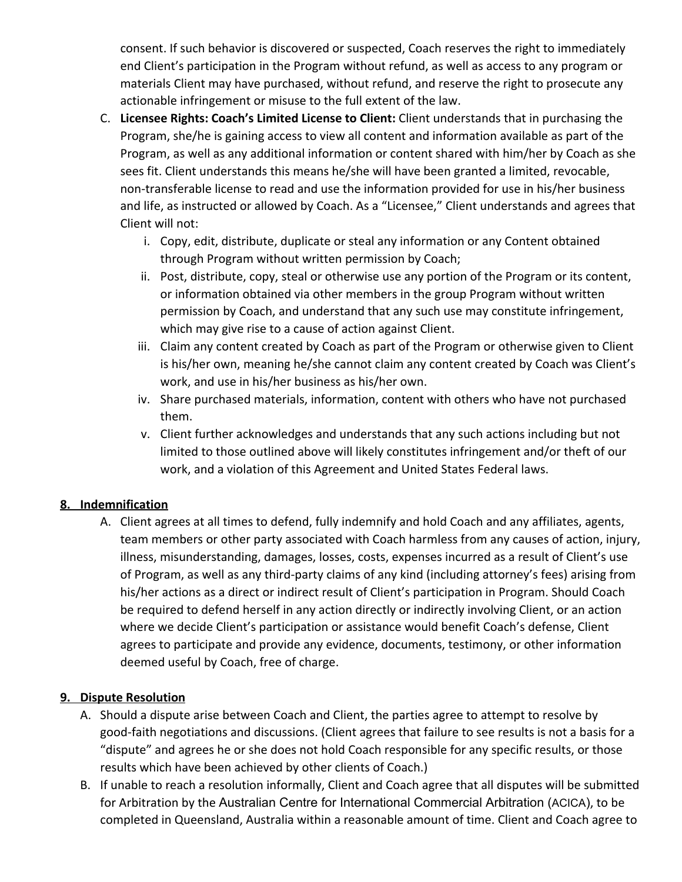consent. If such behavior is discovered or suspected, Coach reserves the right to immediately end Client's participation in the Program without refund, as well as access to any program or materials Client may have purchased, without refund, and reserve the right to prosecute any actionable infringement or misuse to the full extent of the law.

- C. **Licensee Rights: Coach's Limited License to Client:** Client understands that in purchasing the Program, she/he is gaining access to view all content and information available as part of the Program, as well as any additional information or content shared with him/her by Coach as she sees fit. Client understands this means he/she will have been granted a limited, revocable, non-transferable license to read and use the information provided for use in his/her business and life, as instructed or allowed by Coach. As a "Licensee," Client understands and agrees that Client will not:
	- i. Copy, edit, distribute, duplicate or steal any information or any Content obtained through Program without written permission by Coach;
	- ii. Post, distribute, copy, steal or otherwise use any portion of the Program or its content, or information obtained via other members in the group Program without written permission by Coach, and understand that any such use may constitute infringement, which may give rise to a cause of action against Client.
	- iii. Claim any content created by Coach as part of the Program or otherwise given to Client is his/her own, meaning he/she cannot claim any content created by Coach was Client's work, and use in his/her business as his/her own.
	- iv. Share purchased materials, information, content with others who have not purchased them.
	- v. Client further acknowledges and understands that any such actions including but not limited to those outlined above will likely constitutes infringement and/or theft of our work, and a violation of this Agreement and United States Federal laws.

### **8. Indemnification**

A. Client agrees at all times to defend, fully indemnify and hold Coach and any affiliates, agents, team members or other party associated with Coach harmless from any causes of action, injury, illness, misunderstanding, damages, losses, costs, expenses incurred as a result of Client's use of Program, as well as any third-party claims of any kind (including attorney's fees) arising from his/her actions as a direct or indirect result of Client's participation in Program. Should Coach be required to defend herself in any action directly or indirectly involving Client, or an action where we decide Client's participation or assistance would benefit Coach's defense, Client agrees to participate and provide any evidence, documents, testimony, or other information deemed useful by Coach, free of charge.

### **9. Dispute Resolution**

- A. Should a dispute arise between Coach and Client, the parties agree to attempt to resolve by good-faith negotiations and discussions. (Client agrees that failure to see results is not a basis for a "dispute" and agrees he or she does not hold Coach responsible for any specific results, or those results which have been achieved by other clients of Coach.)
- B. If unable to reach a resolution informally, Client and Coach agree that all disputes will be submitted for Arbitration by the Australian Centre for International Commercial Arbitration (ACICA), to be completed in Queensland, Australia within a reasonable amount of time. Client and Coach agree to